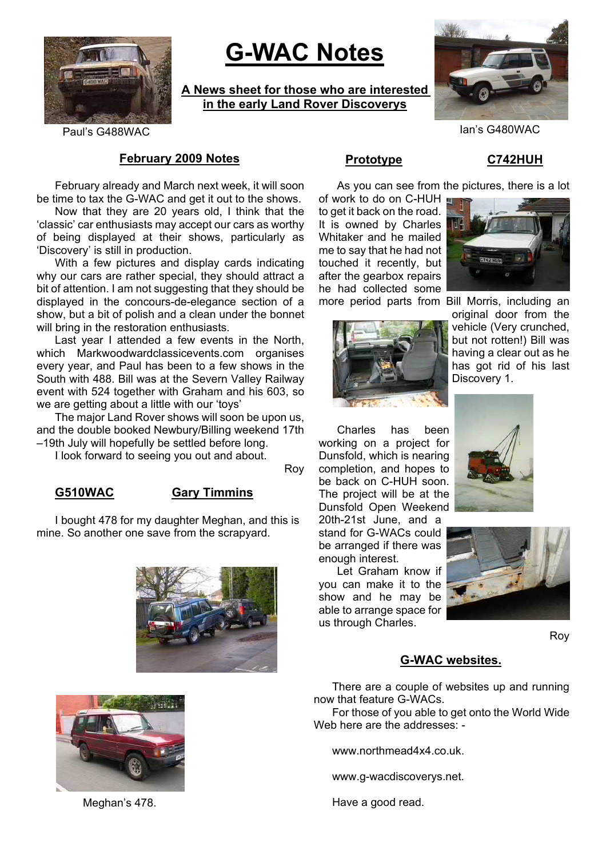

# **G-WAC Notes**

**A News sheet for those who are interested in the early Land Rover Discoverys**



Paul's G488WAC Ian's G480WAC

### **February 2009 Notes**

February already and March next week, it will soon be time to tax the G-WAC and get it out to the shows.

Now that they are 20 years old, I think that the 'classic' car enthusiasts may accept our cars as worthy of being displayed at their shows, particularly as 'Discovery' is still in production.

With a few pictures and display cards indicating why our cars are rather special, they should attract a bit of attention. I am not suggesting that they should be displayed in the concours-de-elegance section of a show, but a bit of polish and a clean under the bonnet will bring in the restoration enthusiasts.

Last year I attended a few events in the North. which Markwoodwardclassicevents.com organises every year, and Paul has been to a few shows in the South with 488. Bill was at the Severn Valley Railway event with 524 together with Graham and his 603, so we are getting about a little with our 'toys'

The major Land Rover shows will soon be upon us, and the double booked Newbury/Billing weekend 17th –19th July will hopefully be settled before long.

I look forward to seeing you out and about.

Roy

### **G510WAC Gary Timmins**

I bought 478 for my daughter Meghan, and this is mine. So another one save from the scrapyard.





Meghan's 478.

# **Prototype C742HUH**

As you can see from the pictures, there is a lot

of work to do on C-HUH to get it back on the road. It is owned by Charles Whitaker and he mailed me to say that he had not touched it recently, but after the gearbox repairs he had collected some more period parts from Bill Morris, including an



original door from the vehicle (Very crunched, but not rotten!) Bill was having a clear out as he has got rid of his last Discovery 1.



20th-21st June, and a stand for G-WACs could be arranged if there was enough interest.

Let Graham know if you can make it to the show and he may be able to arrange space for us through Charles.





Roy

### **G-WAC websites.**

There are a couple of websites up and running now that feature G-WACs.

For those of you able to get onto the World Wide Web here are the addresses: -

www.northmead4x4.co.uk.

www.g-wacdiscoverys.net.

Have a good read.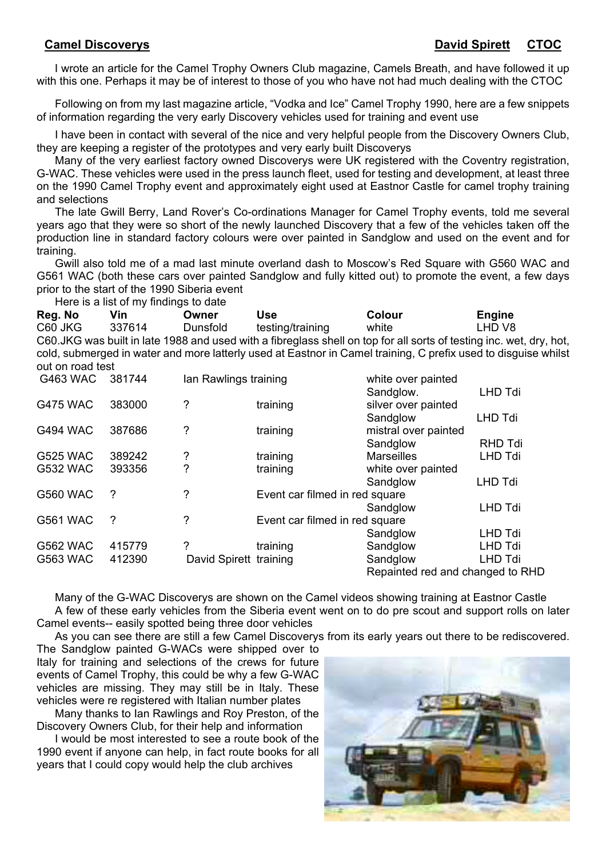I wrote an article for the Camel Trophy Owners Club magazine, Camels Breath, and have followed it up with this one. Perhaps it may be of interest to those of you who have not had much dealing with the CTOC

Following on from my last magazine article, "Vodka and Ice" Camel Trophy 1990, here are a few snippets of information regarding the very early Discovery vehicles used for training and event use

I have been in contact with several of the nice and very helpful people from the Discovery Owners Club, they are keeping a register of the prototypes and very early built Discoverys

Many of the very earliest factory owned Discoverys were UK registered with the Coventry registration, G-WAC. These vehicles were used in the press launch fleet, used for testing and development, at least three on the 1990 Camel Trophy event and approximately eight used at Eastnor Castle for camel trophy training and selections

The late Gwill Berry, Land Rover's Co-ordinations Manager for Camel Trophy events, told me several years ago that they were so short of the newly launched Discovery that a few of the vehicles taken off the production line in standard factory colours were over painted in Sandglow and used on the event and for training.

Gwill also told me of a mad last minute overland dash to Moscow's Red Square with G560 WAC and G561 WAC (both these cars over painted Sandglow and fully kitted out) to promote the event, a few days prior to the start of the 1990 Siberia event

Here is a list of my findings to date

**Reg. No Vin Owner Use Colour Engine** C60 JKG 337614 Dunsfold testing/training white LHD V8 C60.JKG was built in late 1988 and used with a fibreglass shell on top for all sorts of testing inc. wet, dry, hot, cold, submerged in water and more latterly used at Eastnor in Camel training, C prefix used to disguise whilst out on road test

| <b>G463 WAC</b> | 381744 | Ian Rawlings training  |                                | white over painted               |                |
|-----------------|--------|------------------------|--------------------------------|----------------------------------|----------------|
|                 |        |                        |                                | Sandglow.                        | <b>LHD Tdi</b> |
| <b>G475 WAC</b> | 383000 | ?                      | training                       | silver over painted              |                |
|                 |        |                        |                                | Sandglow                         | <b>LHD Tdi</b> |
| <b>G494 WAC</b> | 387686 | ?                      | training                       | mistral over painted             |                |
|                 |        |                        |                                | Sandglow                         | <b>RHD Tdi</b> |
| <b>G525 WAC</b> | 389242 | ?                      | training                       | <b>Marseilles</b>                | LHD Tdi        |
| <b>G532 WAC</b> | 393356 | ?                      | training                       | white over painted               |                |
|                 |        |                        |                                | Sandglow                         | <b>LHD Tdi</b> |
| <b>G560 WAC</b> | 2      | $\overline{?}$         | Event car filmed in red square |                                  |                |
|                 |        |                        |                                | Sandglow                         | <b>LHD Tdi</b> |
| <b>G561 WAC</b> | ?      | $\overline{?}$         | Event car filmed in red square |                                  |                |
|                 |        |                        |                                | Sandglow                         | LHD Tdi        |
| <b>G562 WAC</b> | 415779 | ?                      | training                       | Sandglow                         | <b>LHD Tdi</b> |
| <b>G563 WAC</b> | 412390 | David Spirett training |                                | Sandglow                         | <b>LHD Tdi</b> |
|                 |        |                        |                                | Repainted red and changed to RHD |                |

Many of the G-WAC Discoverys are shown on the Camel videos showing training at Eastnor Castle A few of these early vehicles from the Siberia event went on to do pre scout and support rolls on later Camel events-- easily spotted being three door vehicles

As you can see there are still a few Camel Discoverys from its early years out there to be rediscovered.

The Sandglow painted G-WACs were shipped over to Italy for training and selections of the crews for future events of Camel Trophy, this could be why a few G-WAC vehicles are missing. They may still be in Italy. These vehicles were re registered with Italian number plates

Many thanks to Ian Rawlings and Roy Preston, of the Discovery Owners Club, for their help and information

I would be most interested to see a route book of the 1990 event if anyone can help, in fact route books for all years that I could copy would help the club archives